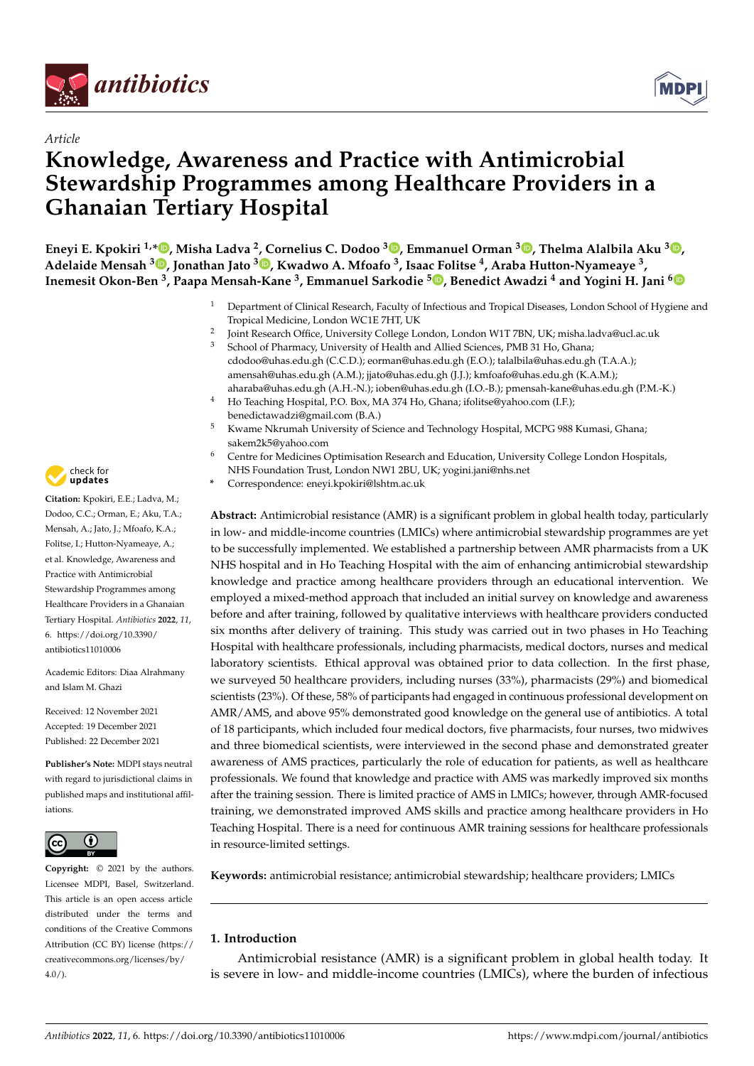



# *Article* **Knowledge, Awareness and Practice with Antimicrobial Stewardship Programmes among Healthcare Providers in a Ghanaian Tertiary Hospital**

**Eneyi E. Kpokiri 1,\* [,](https://orcid.org/0000-0003-1180-1439) Misha Ladva <sup>2</sup> , Cornelius C. Dodoo <sup>3</sup> [,](https://orcid.org/0000-0003-4369-8245) Emmanuel Orman <sup>3</sup> [,](https://orcid.org/0000-0002-0053-5377) Thelma Alalbila Aku <sup>3</sup> [,](https://orcid.org/0000-0002-3769-9367) Adelaide Mensah <sup>3</sup> [,](https://orcid.org/0000-0002-4329-4411) Jonathan Jato <sup>3</sup> [,](https://orcid.org/0000-0002-5508-602X) Kwadwo A. Mfoafo <sup>3</sup> , Isaa[c F](https://orcid.org/0000-0002-1464-2472)olitse <sup>4</sup> , Araba Hutton-Nyameaye <sup>3</sup> , Inemesit Okon-Ben <sup>3</sup> , Paapa Mensah-Kane <sup>3</sup> , Emmanuel Sarkodie <sup>5</sup> , Benedict Awadzi <sup>4</sup> and Yogini H. Jani [6](https://orcid.org/0000-0001-5927-5429)**

- <sup>1</sup> Department of Clinical Research, Faculty of Infectious and Tropical Diseases, London School of Hygiene and Tropical Medicine, London WC1E 7HT, UK
- $\overline{2}$ Joint Research Office, University College London, London W1T 7BN, UK; misha.ladva@ucl.ac.uk
- School of Pharmacy, University of Health and Allied Sciences, PMB 31 Ho, Ghana; cdodoo@uhas.edu.gh (C.C.D.); eorman@uhas.edu.gh (E.O.); talalbila@uhas.edu.gh (T.A.A.); amensah@uhas.edu.gh (A.M.); jjato@uhas.edu.gh (J.J.); kmfoafo@uhas.edu.gh (K.A.M.); aharaba@uhas.edu.gh (A.H.-N.); ioben@uhas.edu.gh (I.O.-B.); pmensah-kane@uhas.edu.gh (P.M.-K.)
- <sup>4</sup> Ho Teaching Hospital, P.O. Box, MA 374 Ho, Ghana; ifolitse@yahoo.com (I.F.); benedictawadzi@gmail.com (B.A.)
- <sup>5</sup> Kwame Nkrumah University of Science and Technology Hospital, MCPG 988 Kumasi, Ghana; sakem2k5@yahoo.com
- <sup>6</sup> Centre for Medicines Optimisation Research and Education, University College London Hospitals, NHS Foundation Trust, London NW1 2BU, UK; yogini.jani@nhs.net
- **\*** Correspondence: eneyi.kpokiri@lshtm.ac.uk

**Abstract:** Antimicrobial resistance (AMR) is a significant problem in global health today, particularly in low- and middle-income countries (LMICs) where antimicrobial stewardship programmes are yet to be successfully implemented. We established a partnership between AMR pharmacists from a UK NHS hospital and in Ho Teaching Hospital with the aim of enhancing antimicrobial stewardship knowledge and practice among healthcare providers through an educational intervention. We employed a mixed-method approach that included an initial survey on knowledge and awareness before and after training, followed by qualitative interviews with healthcare providers conducted six months after delivery of training. This study was carried out in two phases in Ho Teaching Hospital with healthcare professionals, including pharmacists, medical doctors, nurses and medical laboratory scientists. Ethical approval was obtained prior to data collection. In the first phase, we surveyed 50 healthcare providers, including nurses (33%), pharmacists (29%) and biomedical scientists (23%). Of these, 58% of participants had engaged in continuous professional development on AMR/AMS, and above 95% demonstrated good knowledge on the general use of antibiotics. A total of 18 participants, which included four medical doctors, five pharmacists, four nurses, two midwives and three biomedical scientists, were interviewed in the second phase and demonstrated greater awareness of AMS practices, particularly the role of education for patients, as well as healthcare professionals. We found that knowledge and practice with AMS was markedly improved six months after the training session. There is limited practice of AMS in LMICs; however, through AMR-focused training, we demonstrated improved AMS skills and practice among healthcare providers in Ho Teaching Hospital. There is a need for continuous AMR training sessions for healthcare professionals in resource-limited settings.

**Keywords:** antimicrobial resistance; antimicrobial stewardship; healthcare providers; LMICs

# **1. Introduction**

Antimicrobial resistance (AMR) is a significant problem in global health today. It is severe in low- and middle-income countries (LMICs), where the burden of infectious



**Citation:** Kpokiri, E.E.; Ladva, M.; Dodoo, C.C.; Orman, E.; Aku, T.A.; Mensah, A.; Jato, J.; Mfoafo, K.A.; Folitse, I.; Hutton-Nyameaye, A.; et al. Knowledge, Awareness and Practice with Antimicrobial Stewardship Programmes among Healthcare Providers in a Ghanaian Tertiary Hospital. *Antibiotics* **2022**, *11*, 6. [https://doi.org/10.3390/](https://doi.org/10.3390/antibiotics11010006) [antibiotics11010006](https://doi.org/10.3390/antibiotics11010006)

Academic Editors: Diaa Alrahmany and Islam M. Ghazi

Received: 12 November 2021 Accepted: 19 December 2021 Published: 22 December 2021

**Publisher's Note:** MDPI stays neutral with regard to jurisdictional claims in published maps and institutional affiliations.



**Copyright:** © 2021 by the authors. Licensee MDPI, Basel, Switzerland. This article is an open access article distributed under the terms and conditions of the Creative Commons Attribution (CC BY) license [\(https://](https://creativecommons.org/licenses/by/4.0/) [creativecommons.org/licenses/by/](https://creativecommons.org/licenses/by/4.0/)  $4.0/$ ).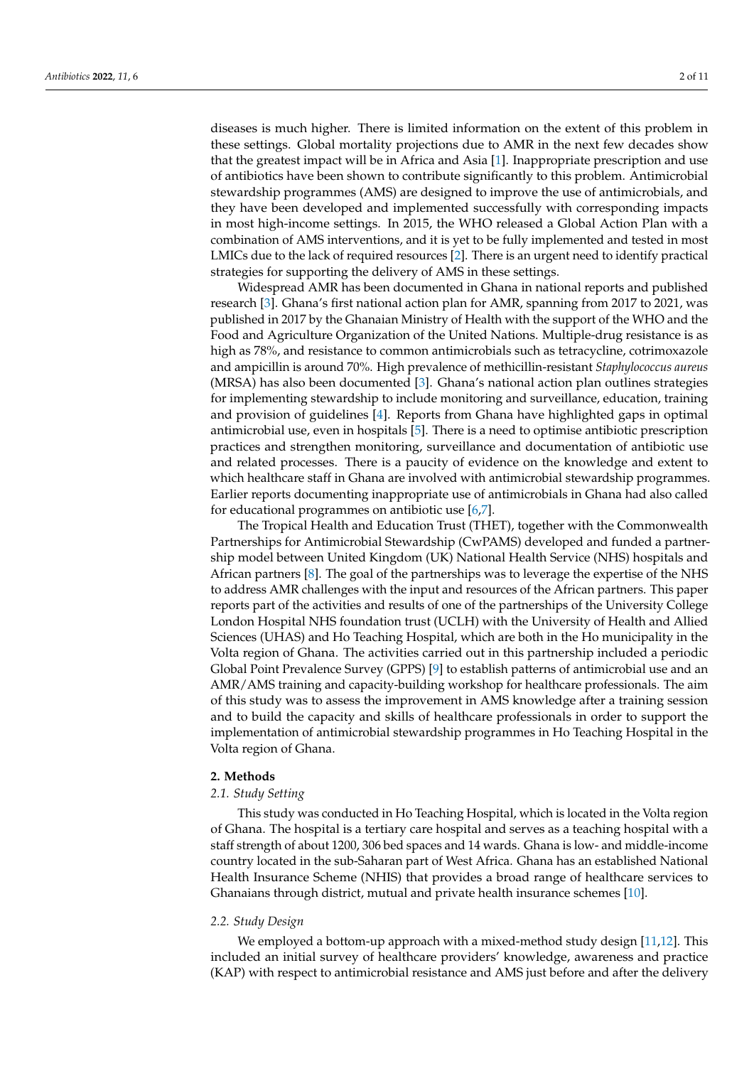diseases is much higher. There is limited information on the extent of this problem in these settings. Global mortality projections due to AMR in the next few decades show that the greatest impact will be in Africa and Asia [\[1\]](#page-9-0). Inappropriate prescription and use of antibiotics have been shown to contribute significantly to this problem. Antimicrobial stewardship programmes (AMS) are designed to improve the use of antimicrobials, and they have been developed and implemented successfully with corresponding impacts in most high-income settings. In 2015, the WHO released a Global Action Plan with a combination of AMS interventions, and it is yet to be fully implemented and tested in most LMICs due to the lack of required resources [\[2\]](#page-9-1). There is an urgent need to identify practical strategies for supporting the delivery of AMS in these settings.

Widespread AMR has been documented in Ghana in national reports and published research [\[3\]](#page-9-2). Ghana's first national action plan for AMR, spanning from 2017 to 2021, was published in 2017 by the Ghanaian Ministry of Health with the support of the WHO and the Food and Agriculture Organization of the United Nations. Multiple-drug resistance is as high as 78%, and resistance to common antimicrobials such as tetracycline, cotrimoxazole and ampicillin is around 70%. High prevalence of methicillin-resistant *Staphylococcus aureus* (MRSA) has also been documented [\[3\]](#page-9-2). Ghana's national action plan outlines strategies for implementing stewardship to include monitoring and surveillance, education, training and provision of guidelines [\[4\]](#page-9-3). Reports from Ghana have highlighted gaps in optimal antimicrobial use, even in hospitals [\[5\]](#page-9-4). There is a need to optimise antibiotic prescription practices and strengthen monitoring, surveillance and documentation of antibiotic use and related processes. There is a paucity of evidence on the knowledge and extent to which healthcare staff in Ghana are involved with antimicrobial stewardship programmes. Earlier reports documenting inappropriate use of antimicrobials in Ghana had also called for educational programmes on antibiotic use [\[6,](#page-9-5)[7\]](#page-9-6).

The Tropical Health and Education Trust (THET), together with the Commonwealth Partnerships for Antimicrobial Stewardship (CwPAMS) developed and funded a partnership model between United Kingdom (UK) National Health Service (NHS) hospitals and African partners [\[8\]](#page-10-0). The goal of the partnerships was to leverage the expertise of the NHS to address AMR challenges with the input and resources of the African partners. This paper reports part of the activities and results of one of the partnerships of the University College London Hospital NHS foundation trust (UCLH) with the University of Health and Allied Sciences (UHAS) and Ho Teaching Hospital, which are both in the Ho municipality in the Volta region of Ghana. The activities carried out in this partnership included a periodic Global Point Prevalence Survey (GPPS) [\[9\]](#page-10-1) to establish patterns of antimicrobial use and an AMR/AMS training and capacity-building workshop for healthcare professionals. The aim of this study was to assess the improvement in AMS knowledge after a training session and to build the capacity and skills of healthcare professionals in order to support the implementation of antimicrobial stewardship programmes in Ho Teaching Hospital in the Volta region of Ghana.

### **2. Methods**

### *2.1. Study Setting*

This study was conducted in Ho Teaching Hospital, which is located in the Volta region of Ghana. The hospital is a tertiary care hospital and serves as a teaching hospital with a staff strength of about 1200, 306 bed spaces and 14 wards. Ghana is low- and middle-income country located in the sub-Saharan part of West Africa. Ghana has an established National Health Insurance Scheme (NHIS) that provides a broad range of healthcare services to Ghanaians through district, mutual and private health insurance schemes [\[10\]](#page-10-2).

### *2.2. Study Design*

We employed a bottom-up approach with a mixed-method study design [\[11,](#page-10-3)[12\]](#page-10-4). This included an initial survey of healthcare providers' knowledge, awareness and practice (KAP) with respect to antimicrobial resistance and AMS just before and after the delivery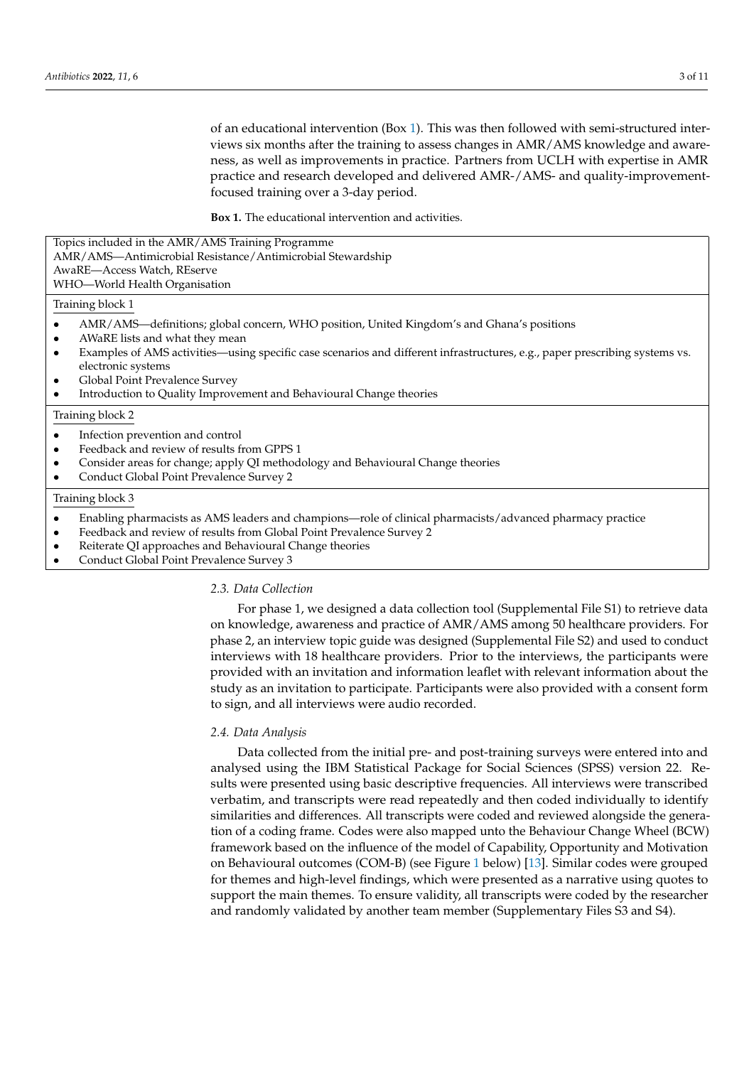of an educational intervention (Box [1\)](#page-2-0). This was then followed with semi-structured interviews six months after the training to assess changes in AMR/AMS knowledge and awareness, as well as improvements in practice. Partners from UCLH with expertise in AMR practice and research developed and delivered AMR-/AMS- and quality-improvementfocused training over a 3-day period.

**Box 1.** The educational intervention and activities.

| Topics included in the AMR/AMS Training Programme<br>AMR/AMS-Antimicrobial Resistance/Antimicrobial Stewardship<br>AwaRE-Access Watch, REserve<br>WHO—World Health Organisation                                                                                                                                                                                                                                                  |
|----------------------------------------------------------------------------------------------------------------------------------------------------------------------------------------------------------------------------------------------------------------------------------------------------------------------------------------------------------------------------------------------------------------------------------|
| Training block 1                                                                                                                                                                                                                                                                                                                                                                                                                 |
| AMR/AMS—definitions; global concern, WHO position, United Kingdom's and Ghana's positions<br>AWaRE lists and what they mean<br>$\bullet$<br>Examples of AMS activities—using specific case scenarios and different infrastructures, e.g., paper prescribing systems vs.<br>electronic systems<br>Global Point Prevalence Survey<br>$\bullet$<br>Introduction to Quality Improvement and Behavioural Change theories<br>$\bullet$ |
| Training block 2                                                                                                                                                                                                                                                                                                                                                                                                                 |
| Infection prevention and control<br>Feedback and review of results from GPPS 1<br>Consider areas for change; apply QI methodology and Behavioural Change theories<br>$\bullet$<br>Conduct Global Point Prevalence Survey 2                                                                                                                                                                                                       |

### Training block 3

- Enabling pharmacists as AMS leaders and champions—role of clinical pharmacists/advanced pharmacy practice
- Feedback and review of results from Global Point Prevalence Survey 2
- Reiterate QI approaches and Behavioural Change theories
- <span id="page-2-0"></span>• Conduct Global Point Prevalence Survey 3

## *2.3. Data Collection*

For phase 1, we designed a data collection tool (Supplemental File S1) to retrieve data on knowledge, awareness and practice of AMR/AMS among 50 healthcare providers. For phase 2, an interview topic guide was designed (Supplemental File S2) and used to conduct interviews with 18 healthcare providers. Prior to the interviews, the participants were provided with an invitation and information leaflet with relevant information about the study as an invitation to participate. Participants were also provided with a consent form to sign, and all interviews were audio recorded.

### *2.4. Data Analysis*

Data collected from the initial pre- and post-training surveys were entered into and analysed using the IBM Statistical Package for Social Sciences (SPSS) version 22. Results were presented using basic descriptive frequencies. All interviews were transcribed verbatim, and transcripts were read repeatedly and then coded individually to identify similarities and differences. All transcripts were coded and reviewed alongside the generation of a coding frame. Codes were also mapped unto the Behaviour Change Wheel (BCW) framework based on the influence of the model of Capability, Opportunity and Motivation on Behavioural outcomes (COM-B) (see Figure [1](#page-3-0) below) [\[13\]](#page-10-5). Similar codes were grouped for themes and high-level findings, which were presented as a narrative using quotes to support the main themes. To ensure validity, all transcripts were coded by the researcher and randomly validated by another team member (Supplementary Files S3 and S4).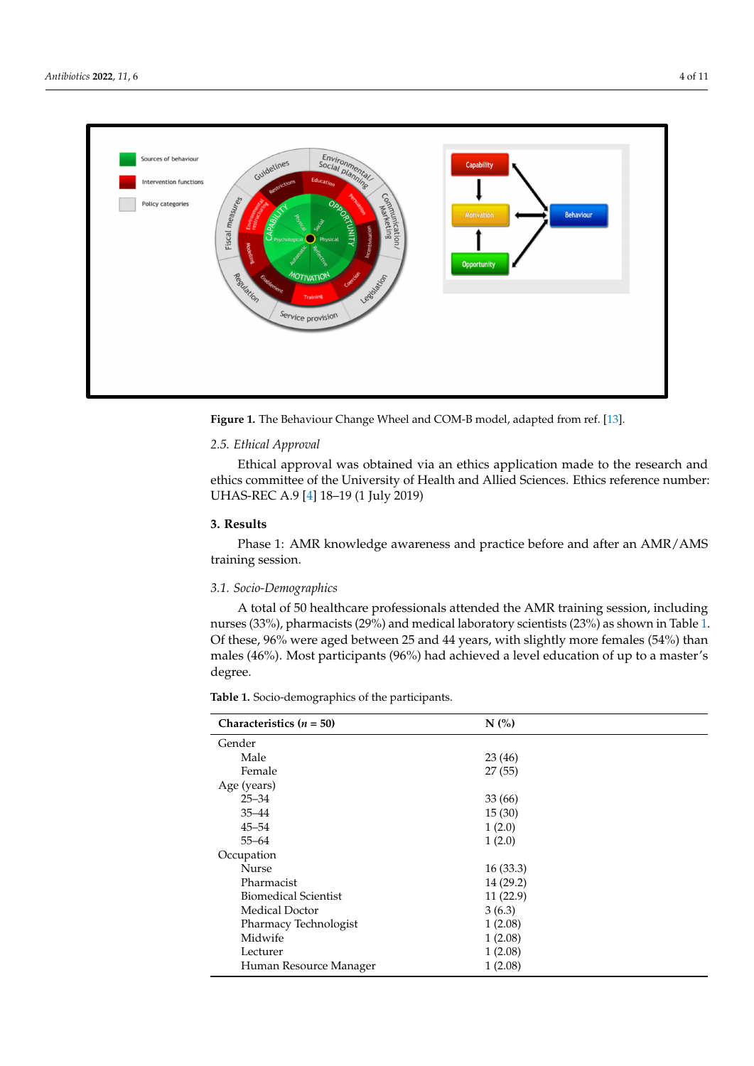<span id="page-3-0"></span>

**Figure 1.** The Behaviour Change Wheel and COM-B model, adapted from ref. [13]. **Figure 1.** The Behaviour Change Wheel and COM-B model, adapted from ref. [\[13\]](#page-10-5).

# *2.5. Ethical Approval 2.5. Ethical Approval*

Ethical approval was obtained via an ethics application made to the research and Ethical approval was obtained via an ethics application made to the research and ethics committee of the University of Health and Allied Sciences. Ethics reference number: ethics committee of the University of Health and Allied Sciences. Ethics reference number: UHAS-REC A.9 [4] 18–19 (1 July 2019) UHAS-REC A.9 [\[4\]](#page-9-3) 18–19 (1 July 2019)

# **3. Results 3. Results**

Phase 1: AMR knowledge awareness and practice before and after an AMR/AMS Phase 1: AMR knowledge awareness and practice before and after an AMR/AMS training session. training session.

# *3.1. Socio-Demographics 3.1. Socio-Demographics*

A total of 50 healthcare professionals attended the AMR training session, including nurses (33%), pharmacists (29%) and medical laboratory scientists (23%) as shown in Table [1.](#page-3-1) nurses (33%), pharmacists (29%) and medical laboratory scientists (23%) as shown in Ta-Of these, 96% were aged between 25 and 44 years, with slightly more females (54%) than males  $(46\%)$  Most participants  $(96\%)$  had achieved a level education of up to a master's males (46%). Most participants (96%) had achieved a level education of up to a master's<br>degree ter's degree. A total of 50 healthcare professionals attended the AMR training session, including degree.

<span id="page-3-1"></span>**Table 1.** Socio-demographics of the participants.

| Characteristics $(n = 50)$  | $N$ (%)   |  |
|-----------------------------|-----------|--|
| Gender                      |           |  |
| Male                        | 23(46)    |  |
| Female                      | 27(55)    |  |
| Age (years)                 |           |  |
| $25 - 34$                   | 33(66)    |  |
| $35 - 44$                   | 15(30)    |  |
| $45 - 54$                   | 1(2.0)    |  |
| $55 - 64$                   | 1(2.0)    |  |
| Occupation                  |           |  |
| Nurse                       | 16(33.3)  |  |
| Pharmacist                  | 14 (29.2) |  |
| <b>Biomedical Scientist</b> | 11(22.9)  |  |
| <b>Medical Doctor</b>       | 3(6.3)    |  |
| Pharmacy Technologist       | 1(2.08)   |  |
| Midwife                     | 1(2.08)   |  |
| Lecturer                    | 1(2.08)   |  |
| Human Resource Manager      | 1(2.08)   |  |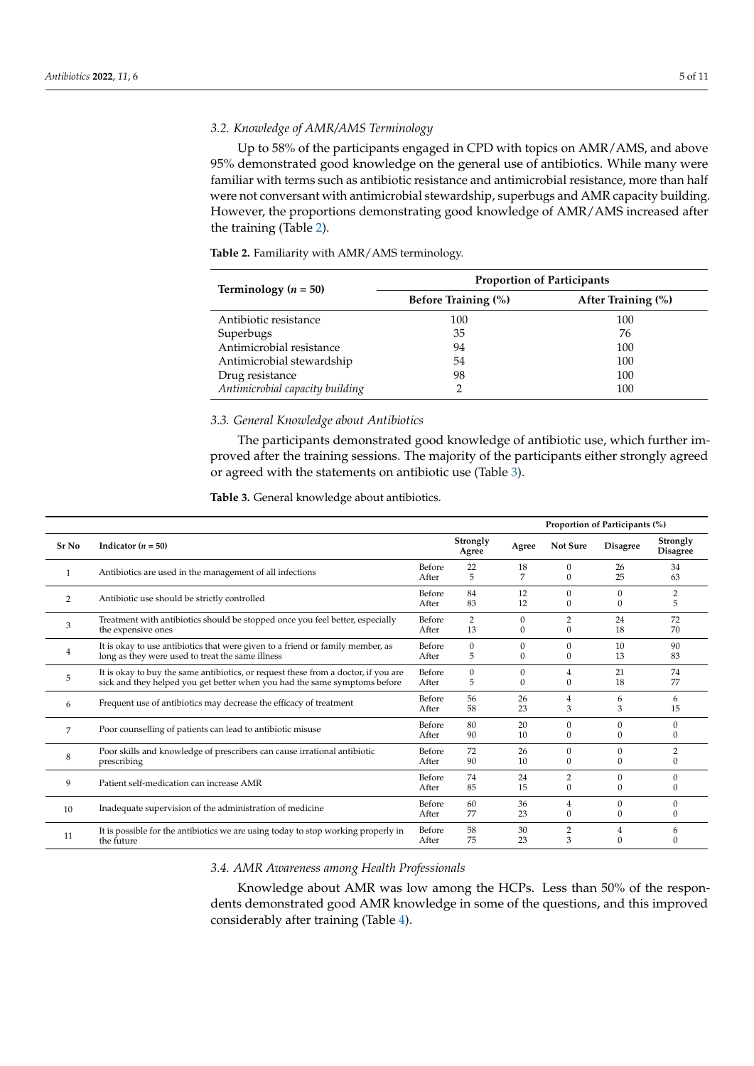# *3.2. Knowledge of AMR/AMS Terminology*

Up to 58% of the participants engaged in CPD with topics on AMR/AMS, and above 95% demonstrated good knowledge on the general use of antibiotics. While many were familiar with terms such as antibiotic resistance and antimicrobial resistance, more than half were not conversant with antimicrobial stewardship, superbugs and AMR capacity building. However, the proportions demonstrating good knowledge of AMR/AMS increased after the training (Table [2\)](#page-4-0).

| Terminology ( $n = 50$ )        | <b>Proportion of Participants</b> |                    |  |  |  |  |
|---------------------------------|-----------------------------------|--------------------|--|--|--|--|
|                                 | <b>Before Training (%)</b>        | After Training (%) |  |  |  |  |
| Antibiotic resistance           | 100                               | 100                |  |  |  |  |
| Superbugs                       | 35                                | 76                 |  |  |  |  |
| Antimicrobial resistance        | 94                                | 100                |  |  |  |  |
| Antimicrobial stewardship       | 54                                | 100                |  |  |  |  |
| Drug resistance                 | 98                                | 100                |  |  |  |  |
| Antimicrobial capacity building |                                   | 100                |  |  |  |  |

<span id="page-4-0"></span>**Table 2.** Familiarity with AMR/AMS terminology.

# *3.3. General Knowledge about Antibiotics*

The participants demonstrated good knowledge of antibiotic use, which further improved after the training sessions. The majority of the participants either strongly agreed or agreed with the statements on antibiotic use (Table [3\)](#page-4-1).

# <span id="page-4-1"></span>**Table 3.** General knowledge about antibiotics.

|       |                                                                                                                                                                 |                 |                      | Proportion of Participants (%) |                                |                          |                             |
|-------|-----------------------------------------------------------------------------------------------------------------------------------------------------------------|-----------------|----------------------|--------------------------------|--------------------------------|--------------------------|-----------------------------|
| Sr No | Indicator $(n = 50)$                                                                                                                                            |                 | Strongly<br>Agree    | Agree                          | <b>Not Sure</b>                | <b>Disagree</b>          | Strongly<br><b>Disagree</b> |
|       | Antibiotics are used in the management of all infections                                                                                                        | Before<br>After | 22<br>5              | 18<br>7                        | $\Omega$<br>$\Omega$           | 26<br>25                 | 34<br>63                    |
| 2     | Antibiotic use should be strictly controlled                                                                                                                    | Before<br>After | 84<br>83             | 12<br>12                       | $\Omega$<br>$\mathbf{0}$       | $\Omega$<br>$\mathbf{0}$ | $\overline{2}$<br>5         |
| 3     | Treatment with antibiotics should be stopped once you feel better, especially<br>the expensive ones                                                             | Before<br>After | $\overline{2}$<br>13 | $\Omega$<br>0                  | $\overline{2}$<br>$\mathbf{0}$ | 24<br>18                 | 72<br>70                    |
| 4     | It is okay to use antibiotics that were given to a friend or family member, as<br>long as they were used to treat the same illness                              | Before<br>After | $\Omega$<br>5        | $\Omega$<br>$\mathbf{0}$       | $\Omega$<br>$\mathbf{0}$       | 10<br>13                 | 90<br>83                    |
| 5     | It is okay to buy the same antibiotics, or request these from a doctor, if you are<br>sick and they helped you get better when you had the same symptoms before | Before<br>After | $\Omega$<br>5        | $\mathbf{0}$<br>$\Omega$       | 4<br>$\mathbf{0}$              | 21<br>18                 | 74<br>77                    |
| 6     | Frequent use of antibiotics may decrease the efficacy of treatment                                                                                              | Before<br>After | 56<br>58             | 26<br>23                       | 4<br>3                         | 6<br>3                   | 6<br>15                     |
| 7     | Poor counselling of patients can lead to antibiotic misuse                                                                                                      | Before<br>After | 80<br>90             | 20<br>10                       | 0<br>$\mathbf{0}$              | $\Omega$<br>$\Omega$     | $\Omega$<br>$\mathbf{0}$    |
| 8     | Poor skills and knowledge of prescribers can cause irrational antibiotic<br>prescribing                                                                         | Before<br>After | 72<br>90             | 26<br>10                       | $\Omega$<br>$\Omega$           | $\Omega$<br>$\Omega$     | 2<br>$\Omega$               |
| 9     | Patient self-medication can increase AMR                                                                                                                        | Before<br>After | 74<br>85             | 24<br>15                       | $\overline{2}$<br>$\mathbf{0}$ | $\Omega$<br>$\Omega$     | $\Omega$<br>$\bf{0}$        |
| 10    | Inadequate supervision of the administration of medicine                                                                                                        | Before<br>After | 60<br>77             | 36<br>23                       | 4<br>$\mathbf{0}$              | $\Omega$<br>$\mathbf{0}$ | $\Omega$<br>$\mathbf{0}$    |
| 11    | It is possible for the antibiotics we are using today to stop working properly in<br>the future                                                                 | Before<br>After | 58<br>75             | 30<br>23                       | $\overline{2}$<br>3            | 4<br>$\Omega$            | 6<br>0                      |

# *3.4. AMR Awareness among Health Professionals*

Knowledge about AMR was low among the HCPs. Less than 50% of the respondents demonstrated good AMR knowledge in some of the questions, and this improved considerably after training (Table [4\)](#page-5-0).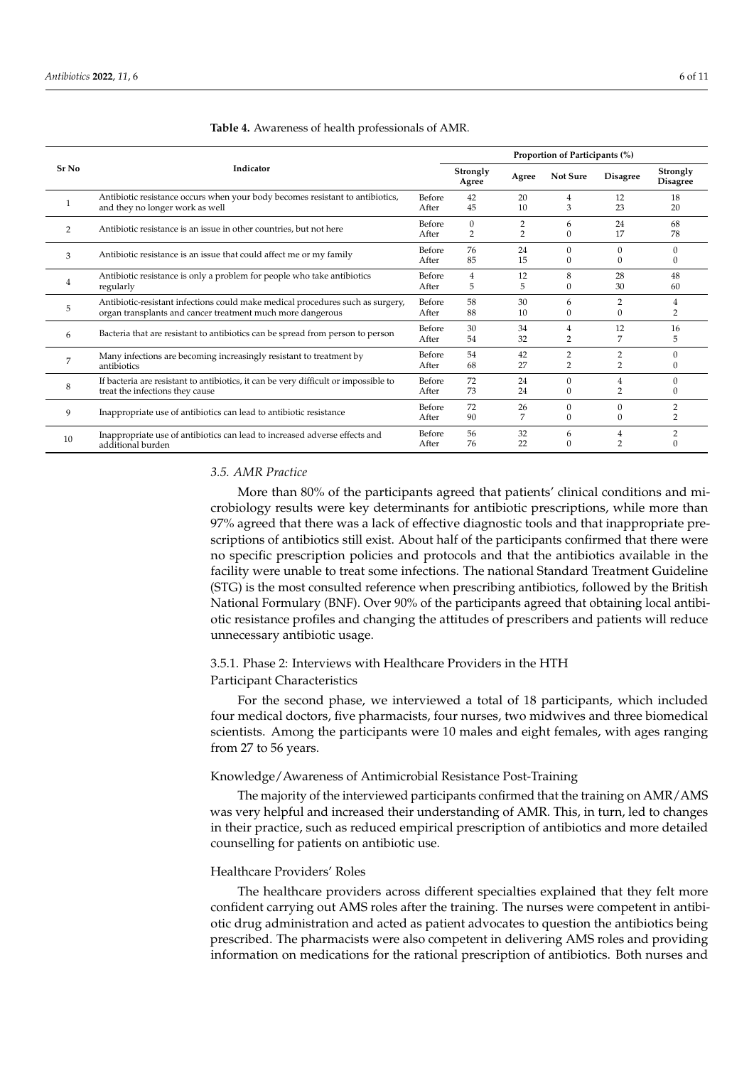|               |                                                                                                                                              |                 |                                | Proportion of Participants (%) |                                  |                     |                             |  |
|---------------|----------------------------------------------------------------------------------------------------------------------------------------------|-----------------|--------------------------------|--------------------------------|----------------------------------|---------------------|-----------------------------|--|
| Sr No         | Indicator                                                                                                                                    |                 | Strongly<br>Agree              | Agree                          | <b>Not Sure</b>                  | <b>Disagree</b>     | Strongly<br><b>Disagree</b> |  |
|               | Antibiotic resistance occurs when your body becomes resistant to antibiotics,<br>and they no longer work as well                             | Before<br>After | 42<br>45                       | 20<br>10                       | 4<br>3                           | 12<br>23            | 18<br>20                    |  |
| $\mathcal{P}$ | Antibiotic resistance is an issue in other countries, but not here                                                                           | Before<br>After | $\mathbf{0}$<br>$\overline{2}$ | $\overline{2}$<br>2            | 6<br>$\Omega$                    | 24<br>17            | 68<br>78                    |  |
| 3             | Antibiotic resistance is an issue that could affect me or my family                                                                          | Before<br>After | 76<br>85                       | 24<br>15                       | $\Omega$<br>$\mathbf{0}$         | 0<br>0              | $\Omega$<br>0               |  |
| 4             | Antibiotic resistance is only a problem for people who take antibiotics<br>regularly                                                         | Before<br>After | 4<br>5                         | 12<br>5                        | 8<br>$\Omega$                    | 28<br>30            | 48<br>60                    |  |
| 5             | Antibiotic-resistant infections could make medical procedures such as surgery,<br>organ transplants and cancer treatment much more dangerous | Before<br>After | 58<br>88                       | 30<br>10                       | 6<br>$\Omega$                    | 2<br>0              | 4<br>2                      |  |
| 6             | Bacteria that are resistant to antibiotics can be spread from person to person                                                               | Before<br>After | 30<br>54                       | 34<br>32                       | 4<br>$\overline{2}$              | 12<br>7             | 16<br>5                     |  |
| 7             | Many infections are becoming increasingly resistant to treatment by<br>antibiotics                                                           | Before<br>After | 54<br>68                       | 42<br>27                       | $\overline{2}$<br>$\overline{2}$ | 2<br>$\overline{2}$ | $\Omega$<br>$\Omega$        |  |
| 8             | If bacteria are resistant to antibiotics, it can be very difficult or impossible to<br>treat the infections they cause                       | Before<br>After | 72<br>73                       | 24<br>24                       | $\Omega$<br>$\Omega$             | 2                   | $\Omega$<br>$\Omega$        |  |
| 9             | Inappropriate use of antibiotics can lead to antibiotic resistance                                                                           | Before<br>After | 72<br>90                       | 26                             | $\Omega$<br>$\Omega$             | $\Omega$<br>0       |                             |  |
| 10            | Inappropriate use of antibiotics can lead to increased adverse effects and<br>additional burden                                              | Before<br>After | 56<br>76                       | 32<br>22                       | 6<br>$\Omega$                    |                     |                             |  |

#### <span id="page-5-0"></span>**Table 4.** Awareness of health professionals of AMR.

### *3.5. AMR Practice*

More than 80% of the participants agreed that patients' clinical conditions and microbiology results were key determinants for antibiotic prescriptions, while more than 97% agreed that there was a lack of effective diagnostic tools and that inappropriate prescriptions of antibiotics still exist. About half of the participants confirmed that there were no specific prescription policies and protocols and that the antibiotics available in the facility were unable to treat some infections. The national Standard Treatment Guideline (STG) is the most consulted reference when prescribing antibiotics, followed by the British National Formulary (BNF). Over 90% of the participants agreed that obtaining local antibiotic resistance profiles and changing the attitudes of prescribers and patients will reduce unnecessary antibiotic usage.

# 3.5.1. Phase 2: Interviews with Healthcare Providers in the HTH Participant Characteristics

For the second phase, we interviewed a total of 18 participants, which included four medical doctors, five pharmacists, four nurses, two midwives and three biomedical scientists. Among the participants were 10 males and eight females, with ages ranging from 27 to 56 years.

### Knowledge/Awareness of Antimicrobial Resistance Post-Training

The majority of the interviewed participants confirmed that the training on AMR/AMS was very helpful and increased their understanding of AMR. This, in turn, led to changes in their practice, such as reduced empirical prescription of antibiotics and more detailed counselling for patients on antibiotic use.

#### Healthcare Providers' Roles

The healthcare providers across different specialties explained that they felt more confident carrying out AMS roles after the training. The nurses were competent in antibiotic drug administration and acted as patient advocates to question the antibiotics being prescribed. The pharmacists were also competent in delivering AMS roles and providing information on medications for the rational prescription of antibiotics. Both nurses and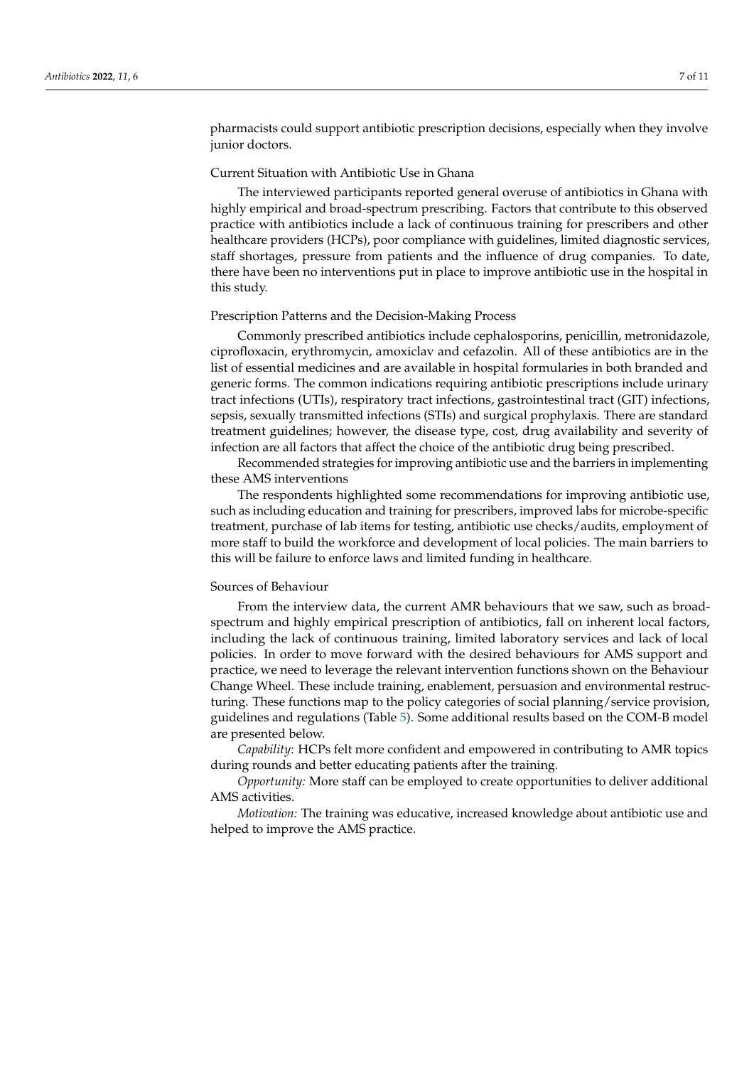pharmacists could support antibiotic prescription decisions, especially when they involve junior doctors.

# Current Situation with Antibiotic Use in Ghana

The interviewed participants reported general overuse of antibiotics in Ghana with highly empirical and broad-spectrum prescribing. Factors that contribute to this observed practice with antibiotics include a lack of continuous training for prescribers and other healthcare providers (HCPs), poor compliance with guidelines, limited diagnostic services, staff shortages, pressure from patients and the influence of drug companies. To date, there have been no interventions put in place to improve antibiotic use in the hospital in this study.

#### Prescription Patterns and the Decision-Making Process

Commonly prescribed antibiotics include cephalosporins, penicillin, metronidazole, ciprofloxacin, erythromycin, amoxiclav and cefazolin. All of these antibiotics are in the list of essential medicines and are available in hospital formularies in both branded and generic forms. The common indications requiring antibiotic prescriptions include urinary tract infections (UTIs), respiratory tract infections, gastrointestinal tract (GIT) infections, sepsis, sexually transmitted infections (STIs) and surgical prophylaxis. There are standard treatment guidelines; however, the disease type, cost, drug availability and severity of infection are all factors that affect the choice of the antibiotic drug being prescribed.

Recommended strategies for improving antibiotic use and the barriers in implementing these AMS interventions

The respondents highlighted some recommendations for improving antibiotic use, such as including education and training for prescribers, improved labs for microbe-specific treatment, purchase of lab items for testing, antibiotic use checks/audits, employment of more staff to build the workforce and development of local policies. The main barriers to this will be failure to enforce laws and limited funding in healthcare.

# Sources of Behaviour

From the interview data, the current AMR behaviours that we saw, such as broadspectrum and highly empirical prescription of antibiotics, fall on inherent local factors, including the lack of continuous training, limited laboratory services and lack of local policies. In order to move forward with the desired behaviours for AMS support and practice, we need to leverage the relevant intervention functions shown on the Behaviour Change Wheel. These include training, enablement, persuasion and environmental restructuring. These functions map to the policy categories of social planning/service provision, guidelines and regulations (Table [5\)](#page-7-0). Some additional results based on the COM-B model are presented below.

*Capability*: HCPs felt more confident and empowered in contributing to AMR topics during rounds and better educating patients after the training.

*Opportunity:* More staff can be employed to create opportunities to deliver additional AMS activities.

*Motivation:* The training was educative, increased knowledge about antibiotic use and helped to improve the AMS practice.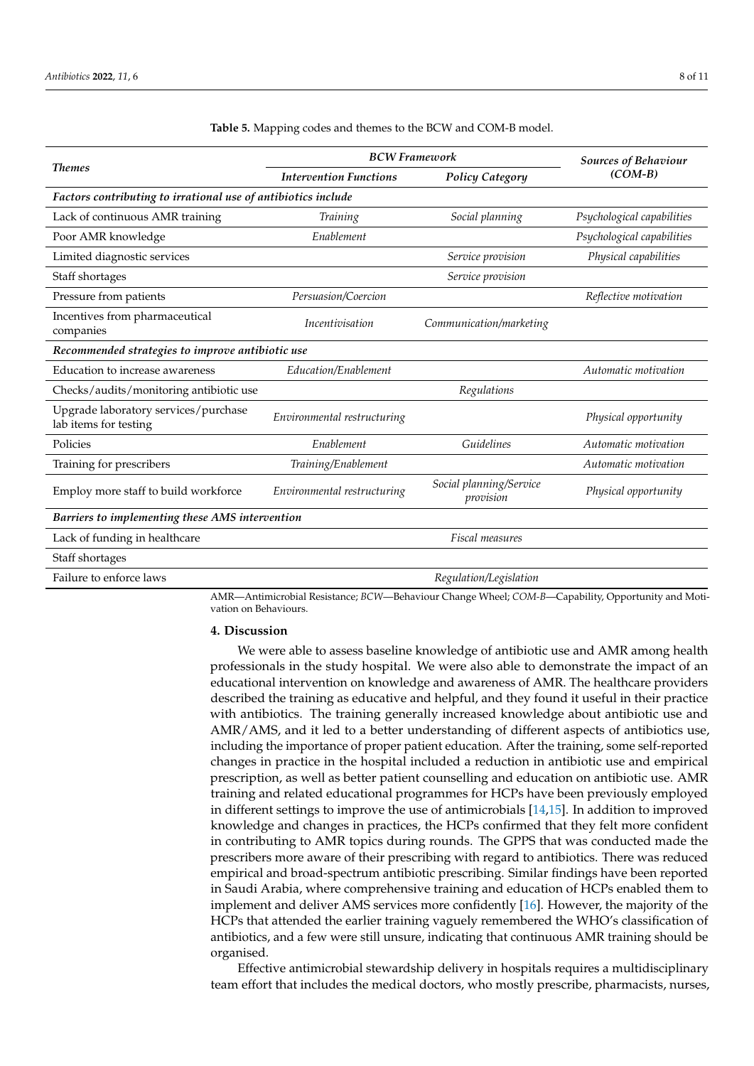|                                                               | <b>BCW Framework</b>          | <b>Sources of Behaviour</b>          |                            |  |  |  |  |
|---------------------------------------------------------------|-------------------------------|--------------------------------------|----------------------------|--|--|--|--|
| <b>Themes</b>                                                 | <b>Intervention Functions</b> | <b>Policy Category</b>               | $(COM-B)$                  |  |  |  |  |
| Factors contributing to irrational use of antibiotics include |                               |                                      |                            |  |  |  |  |
| Lack of continuous AMR training                               | Training                      | Social planning                      | Psychological capabilities |  |  |  |  |
| Poor AMR knowledge                                            | Enablement                    |                                      | Psychological capabilities |  |  |  |  |
| Limited diagnostic services                                   |                               | Service provision                    | Physical capabilities      |  |  |  |  |
| Staff shortages                                               |                               | Service provision                    |                            |  |  |  |  |
| Pressure from patients                                        | Persuasion/Coercion           |                                      | Reflective motivation      |  |  |  |  |
| Incentives from pharmaceutical<br>companies                   | <i>Incentivisation</i>        | Communication/marketing              |                            |  |  |  |  |
| Recommended strategies to improve antibiotic use              |                               |                                      |                            |  |  |  |  |
| Education to increase awareness                               | Education/Enablement          |                                      | Automatic motivation       |  |  |  |  |
| Checks/audits/monitoring antibiotic use                       |                               | Regulations                          |                            |  |  |  |  |
| Upgrade laboratory services/purchase<br>lab items for testing | Environmental restructuring   |                                      | Physical opportunity       |  |  |  |  |
| Policies                                                      | Enablement                    | Guidelines                           | Automatic motivation       |  |  |  |  |
| Training for prescribers                                      | Training/Enablement           |                                      | Automatic motivation       |  |  |  |  |
| Employ more staff to build workforce                          | Environmental restructuring   | Social planning/Service<br>provision | Physical opportunity       |  |  |  |  |
| Barriers to implementing these AMS intervention               |                               |                                      |                            |  |  |  |  |
| Lack of funding in healthcare                                 |                               | Fiscal measures                      |                            |  |  |  |  |
| Staff shortages                                               |                               |                                      |                            |  |  |  |  |
| Failure to enforce laws                                       |                               | Regulation/Legislation               |                            |  |  |  |  |

### <span id="page-7-0"></span>**Table 5.** Mapping codes and themes to the BCW and COM-B model.

AMR—Antimicrobial Resistance; *BCW*—Behaviour Change Wheel; *COM-B*—Capability, Opportunity and Motivation on Behaviours.

### **4. Discussion**

We were able to assess baseline knowledge of antibiotic use and AMR among health professionals in the study hospital. We were also able to demonstrate the impact of an educational intervention on knowledge and awareness of AMR. The healthcare providers described the training as educative and helpful, and they found it useful in their practice with antibiotics. The training generally increased knowledge about antibiotic use and AMR/AMS, and it led to a better understanding of different aspects of antibiotics use, including the importance of proper patient education. After the training, some self-reported changes in practice in the hospital included a reduction in antibiotic use and empirical prescription, as well as better patient counselling and education on antibiotic use. AMR training and related educational programmes for HCPs have been previously employed in different settings to improve the use of antimicrobials [\[14](#page-10-6)[,15\]](#page-10-7). In addition to improved knowledge and changes in practices, the HCPs confirmed that they felt more confident in contributing to AMR topics during rounds. The GPPS that was conducted made the prescribers more aware of their prescribing with regard to antibiotics. There was reduced empirical and broad-spectrum antibiotic prescribing. Similar findings have been reported in Saudi Arabia, where comprehensive training and education of HCPs enabled them to implement and deliver AMS services more confidently [\[16\]](#page-10-8). However, the majority of the HCPs that attended the earlier training vaguely remembered the WHO's classification of antibiotics, and a few were still unsure, indicating that continuous AMR training should be organised.

Effective antimicrobial stewardship delivery in hospitals requires a multidisciplinary team effort that includes the medical doctors, who mostly prescribe, pharmacists, nurses,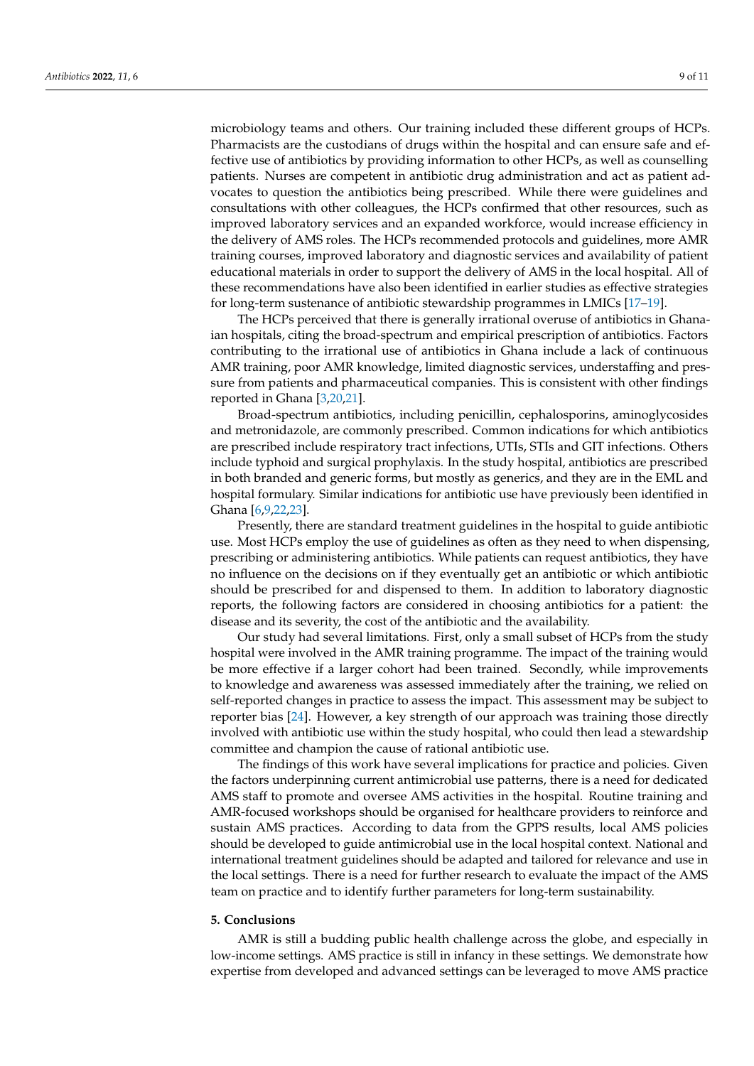microbiology teams and others. Our training included these different groups of HCPs. Pharmacists are the custodians of drugs within the hospital and can ensure safe and effective use of antibiotics by providing information to other HCPs, as well as counselling patients. Nurses are competent in antibiotic drug administration and act as patient advocates to question the antibiotics being prescribed. While there were guidelines and consultations with other colleagues, the HCPs confirmed that other resources, such as improved laboratory services and an expanded workforce, would increase efficiency in the delivery of AMS roles. The HCPs recommended protocols and guidelines, more AMR training courses, improved laboratory and diagnostic services and availability of patient educational materials in order to support the delivery of AMS in the local hospital. All of these recommendations have also been identified in earlier studies as effective strategies for long-term sustenance of antibiotic stewardship programmes in LMICs [\[17](#page-10-9)[–19\]](#page-10-10).

The HCPs perceived that there is generally irrational overuse of antibiotics in Ghanaian hospitals, citing the broad-spectrum and empirical prescription of antibiotics. Factors contributing to the irrational use of antibiotics in Ghana include a lack of continuous AMR training, poor AMR knowledge, limited diagnostic services, understaffing and pressure from patients and pharmaceutical companies. This is consistent with other findings reported in Ghana [\[3,](#page-9-2)[20](#page-10-11)[,21\]](#page-10-12).

Broad-spectrum antibiotics, including penicillin, cephalosporins, aminoglycosides and metronidazole, are commonly prescribed. Common indications for which antibiotics are prescribed include respiratory tract infections, UTIs, STIs and GIT infections. Others include typhoid and surgical prophylaxis. In the study hospital, antibiotics are prescribed in both branded and generic forms, but mostly as generics, and they are in the EML and hospital formulary. Similar indications for antibiotic use have previously been identified in Ghana [\[6](#page-9-5)[,9](#page-10-1)[,22](#page-10-13)[,23\]](#page-10-14).

Presently, there are standard treatment guidelines in the hospital to guide antibiotic use. Most HCPs employ the use of guidelines as often as they need to when dispensing, prescribing or administering antibiotics. While patients can request antibiotics, they have no influence on the decisions on if they eventually get an antibiotic or which antibiotic should be prescribed for and dispensed to them. In addition to laboratory diagnostic reports, the following factors are considered in choosing antibiotics for a patient: the disease and its severity, the cost of the antibiotic and the availability.

Our study had several limitations. First, only a small subset of HCPs from the study hospital were involved in the AMR training programme. The impact of the training would be more effective if a larger cohort had been trained. Secondly, while improvements to knowledge and awareness was assessed immediately after the training, we relied on self-reported changes in practice to assess the impact. This assessment may be subject to reporter bias [\[24\]](#page-10-15). However, a key strength of our approach was training those directly involved with antibiotic use within the study hospital, who could then lead a stewardship committee and champion the cause of rational antibiotic use.

The findings of this work have several implications for practice and policies. Given the factors underpinning current antimicrobial use patterns, there is a need for dedicated AMS staff to promote and oversee AMS activities in the hospital. Routine training and AMR-focused workshops should be organised for healthcare providers to reinforce and sustain AMS practices. According to data from the GPPS results, local AMS policies should be developed to guide antimicrobial use in the local hospital context. National and international treatment guidelines should be adapted and tailored for relevance and use in the local settings. There is a need for further research to evaluate the impact of the AMS team on practice and to identify further parameters for long-term sustainability.

# **5. Conclusions**

AMR is still a budding public health challenge across the globe, and especially in low-income settings. AMS practice is still in infancy in these settings. We demonstrate how expertise from developed and advanced settings can be leveraged to move AMS practice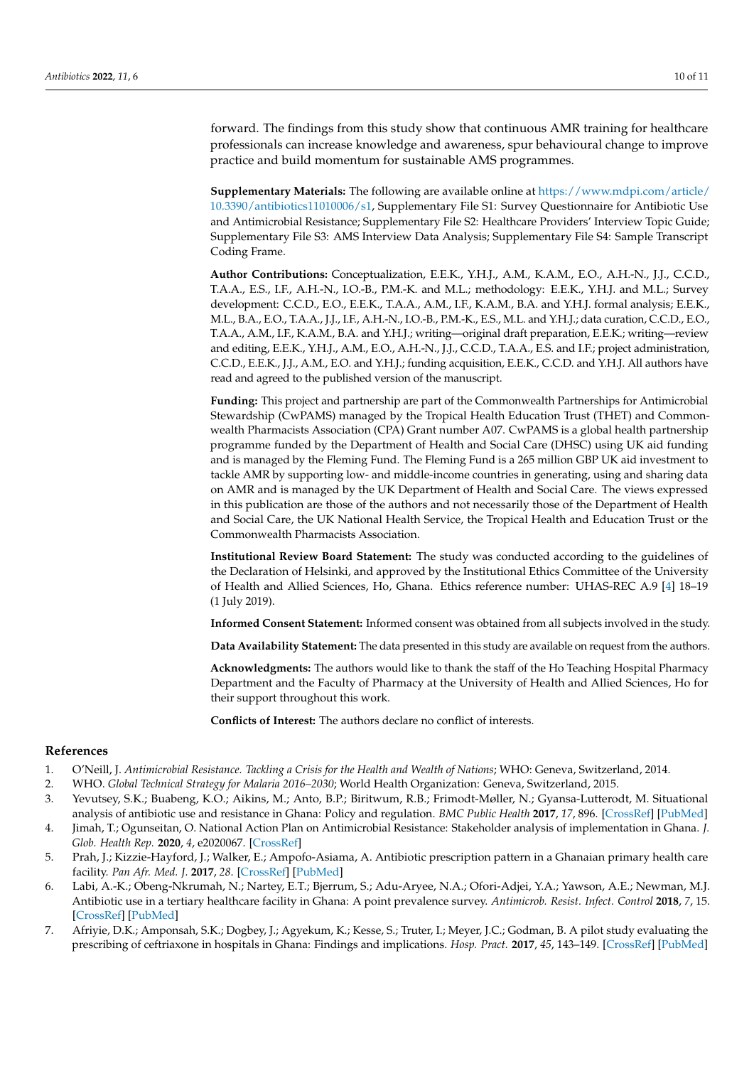forward. The findings from this study show that continuous AMR training for healthcare professionals can increase knowledge and awareness, spur behavioural change to improve practice and build momentum for sustainable AMS programmes.

**Supplementary Materials:** The following are available online at [https://www.mdpi.com/article/](https://www.mdpi.com/article/10.3390/antibiotics11010006/s1) [10.3390/antibiotics11010006/s1,](https://www.mdpi.com/article/10.3390/antibiotics11010006/s1) Supplementary File S1: Survey Questionnaire for Antibiotic Use and Antimicrobial Resistance; Supplementary File S2: Healthcare Providers' Interview Topic Guide; Supplementary File S3: AMS Interview Data Analysis; Supplementary File S4: Sample Transcript Coding Frame.

**Author Contributions:** Conceptualization, E.E.K., Y.H.J., A.M., K.A.M., E.O., A.H.-N., J.J., C.C.D., T.A.A., E.S., I.F., A.H.-N., I.O.-B., P.M.-K. and M.L.; methodology: E.E.K., Y.H.J. and M.L.; Survey development: C.C.D., E.O., E.E.K., T.A.A., A.M., I.F., K.A.M., B.A. and Y.H.J. formal analysis; E.E.K., M.L., B.A., E.O., T.A.A., J.J., I.F., A.H.-N., I.O.-B., P.M.-K., E.S., M.L. and Y.H.J.; data curation, C.C.D., E.O., T.A.A., A.M., I.F., K.A.M., B.A. and Y.H.J.; writing—original draft preparation, E.E.K.; writing—review and editing, E.E.K., Y.H.J., A.M., E.O., A.H.-N., J.J., C.C.D., T.A.A., E.S. and I.F.; project administration, C.C.D., E.E.K., J.J., A.M., E.O. and Y.H.J.; funding acquisition, E.E.K., C.C.D. and Y.H.J. All authors have read and agreed to the published version of the manuscript.

**Funding:** This project and partnership are part of the Commonwealth Partnerships for Antimicrobial Stewardship (CwPAMS) managed by the Tropical Health Education Trust (THET) and Commonwealth Pharmacists Association (CPA) Grant number A07. CwPAMS is a global health partnership programme funded by the Department of Health and Social Care (DHSC) using UK aid funding and is managed by the Fleming Fund. The Fleming Fund is a 265 million GBP UK aid investment to tackle AMR by supporting low- and middle-income countries in generating, using and sharing data on AMR and is managed by the UK Department of Health and Social Care. The views expressed in this publication are those of the authors and not necessarily those of the Department of Health and Social Care, the UK National Health Service, the Tropical Health and Education Trust or the Commonwealth Pharmacists Association.

**Institutional Review Board Statement:** The study was conducted according to the guidelines of the Declaration of Helsinki, and approved by the Institutional Ethics Committee of the University of Health and Allied Sciences, Ho, Ghana. Ethics reference number: UHAS-REC A.9 [\[4\]](#page-9-3) 18–19 (1 July 2019).

**Informed Consent Statement:** Informed consent was obtained from all subjects involved in the study.

**Data Availability Statement:** The data presented in this study are available on request from the authors.

**Acknowledgments:** The authors would like to thank the staff of the Ho Teaching Hospital Pharmacy Department and the Faculty of Pharmacy at the University of Health and Allied Sciences, Ho for their support throughout this work.

**Conflicts of Interest:** The authors declare no conflict of interests.

### **References**

- <span id="page-9-0"></span>1. O'Neill, J. *Antimicrobial Resistance. Tackling a Crisis for the Health and Wealth of Nations*; WHO: Geneva, Switzerland, 2014.
- <span id="page-9-1"></span>2. WHO. *Global Technical Strategy for Malaria 2016–2030*; World Health Organization: Geneva, Switzerland, 2015.
- <span id="page-9-2"></span>3. Yevutsey, S.K.; Buabeng, K.O.; Aikins, M.; Anto, B.P.; Biritwum, R.B.; Frimodt-Møller, N.; Gyansa-Lutterodt, M. Situational analysis of antibiotic use and resistance in Ghana: Policy and regulation. *BMC Public Health* **2017**, *17*, 896. [\[CrossRef\]](http://doi.org/10.1186/s12889-017-4910-7) [\[PubMed\]](http://www.ncbi.nlm.nih.gov/pubmed/29169340)
- <span id="page-9-3"></span>4. Jimah, T.; Ogunseitan, O. National Action Plan on Antimicrobial Resistance: Stakeholder analysis of implementation in Ghana. *J. Glob. Health Rep.* **2020**, *4*, e2020067. [\[CrossRef\]](http://doi.org/10.29392/001c.13695)
- <span id="page-9-4"></span>5. Prah, J.; Kizzie-Hayford, J.; Walker, E.; Ampofo-Asiama, A. Antibiotic prescription pattern in a Ghanaian primary health care facility. *Pan Afr. Med. J.* **2017**, *28*. [\[CrossRef\]](http://doi.org/10.11604/pamj.2017.28.214.13940) [\[PubMed\]](http://www.ncbi.nlm.nih.gov/pubmed/29610652)
- <span id="page-9-5"></span>6. Labi, A.-K.; Obeng-Nkrumah, N.; Nartey, E.T.; Bjerrum, S.; Adu-Aryee, N.A.; Ofori-Adjei, Y.A.; Yawson, A.E.; Newman, M.J. Antibiotic use in a tertiary healthcare facility in Ghana: A point prevalence survey. *Antimicrob. Resist. Infect. Control* **2018**, *7*, 15. [\[CrossRef\]](http://doi.org/10.1186/s13756-018-0299-z) [\[PubMed\]](http://www.ncbi.nlm.nih.gov/pubmed/29423190)
- <span id="page-9-6"></span>7. Afriyie, D.K.; Amponsah, S.K.; Dogbey, J.; Agyekum, K.; Kesse, S.; Truter, I.; Meyer, J.C.; Godman, B. A pilot study evaluating the prescribing of ceftriaxone in hospitals in Ghana: Findings and implications. *Hosp. Pract.* **2017**, *45*, 143–149. [\[CrossRef\]](http://doi.org/10.1080/21548331.2017.1348139) [\[PubMed\]](http://www.ncbi.nlm.nih.gov/pubmed/28657382)